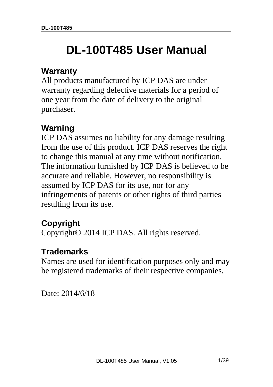# **DL-100T485 User Manual**

#### **Warranty**

All products manufactured by ICP DAS are under warranty regarding defective materials for a period of one year from the date of delivery to the original purchaser.

# **Warning**

ICP DAS assumes no liability for any damage resulting from the use of this product. ICP DAS reserves the right to change this manual at any time without notification. The information furnished by ICP DAS is believed to be accurate and reliable. However, no responsibility is assumed by ICP DAS for its use, nor for any infringements of patents or other rights of third parties resulting from its use.

# **Copyright**

Copyright© 2014 ICP DAS. All rights reserved.

### **Trademarks**

Names are used for identification purposes only and may be registered trademarks of their respective companies.

Date: 2014/6/18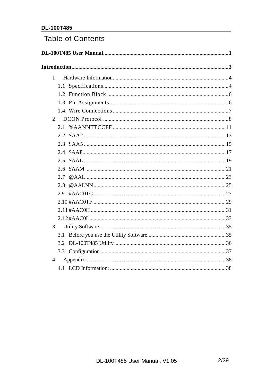#### **Table of Contents**

| $\mathbf{1}$   |               |  |
|----------------|---------------|--|
|                |               |  |
|                |               |  |
|                |               |  |
|                |               |  |
| $\overline{2}$ |               |  |
|                |               |  |
|                |               |  |
|                | $2.3^{\circ}$ |  |
|                |               |  |
|                | 2.5           |  |
|                | 2.6           |  |
|                | 2.7           |  |
|                | 2.8           |  |
|                | 2.9           |  |
|                |               |  |
|                |               |  |
|                |               |  |
| 3              |               |  |
|                |               |  |
|                |               |  |
|                |               |  |
| $\overline{4}$ |               |  |
|                |               |  |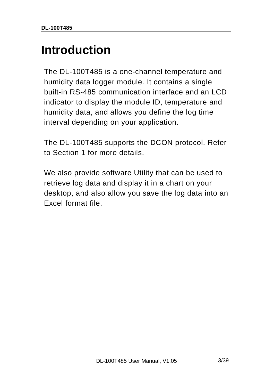# **Introduction**

The DL-100T485 is a one-channel temperature and humidity data logger module. It contains a single built-in RS-485 communication interface and an LCD indicator to display the module ID, temperature and humidity data, and allows you define the log time interval depending on your application.

The DL-100T485 supports the DCON protocol. Refer to Section 1 for more details.

We also provide software Utility that can be used to retrieve log data and display it in a chart on your desktop, and also allow you save the log data into an Excel format file.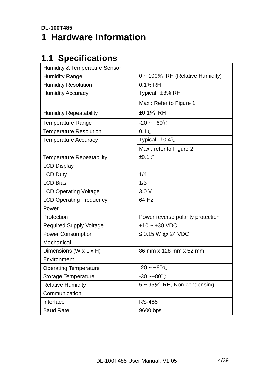# **1 Hardware Information**

# **1.1 Specifications**

| <b>Humidity &amp; Temperature Sensor</b> |                                       |
|------------------------------------------|---------------------------------------|
| <b>Humidity Range</b>                    | $0 \sim 100\%$ RH (Relative Humidity) |
| <b>Humidity Resolution</b>               | 0.1% RH                               |
| <b>Humidity Accuracy</b>                 | Typical: ±3% RH                       |
|                                          | Max.: Refer to Figure 1               |
| <b>Humidity Repeatability</b>            | $±0.1\%$ RH                           |
| <b>Temperature Range</b>                 | $-20 - +60^{\circ}$                   |
| <b>Temperature Resolution</b>            | $0.1^{\circ}$ C                       |
| <b>Temperature Accuracy</b>              | Typical: ±0.4°C                       |
|                                          | Max.: refer to Figure 2.              |
| <b>Temperature Repeatability</b>         | $±0.1^{\circ}$                        |
| <b>LCD Display</b>                       |                                       |
| <b>LCD Duty</b>                          | 1/4                                   |
| <b>LCD Bias</b>                          | 1/3                                   |
| <b>LCD Operating Voltage</b>             | 3.0V                                  |
| <b>LCD Operating Frequency</b>           | 64 Hz                                 |
| Power                                    |                                       |
| Protection                               | Power reverse polarity protection     |
| <b>Required Supply Voltage</b>           | $+10 - +30$ VDC                       |
| <b>Power Consumption</b>                 | ≤ 0.15 W @ 24 VDC                     |
| Mechanical                               |                                       |
| Dimensions (W x L x H)                   | 86 mm x 128 mm x 52 mm                |
| Environment                              |                                       |
| <b>Operating Temperature</b>             | $-20 - +60^{\circ}$                   |
| Storage Temperature                      | $-30 - +80^{\circ}$ C                 |
| <b>Relative Humidity</b>                 | $5 \sim 95\%$ RH, Non-condensing      |
| Communication                            |                                       |
| Interface                                | <b>RS-485</b>                         |
| <b>Baud Rate</b>                         | 9600 bps                              |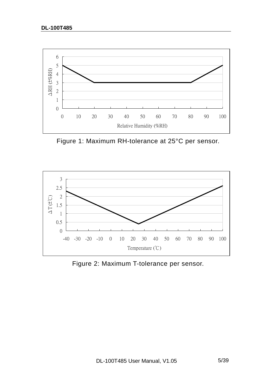

Figure 1: Maximum RH-tolerance at 25°C per sensor.



Figure 2: Maximum T-tolerance per sensor.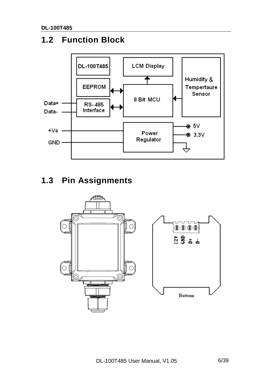# **1.2 Function Block**



# **1.3 Pin Assignments**

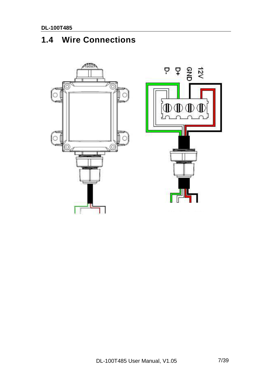# **1.4 Wire Connections**

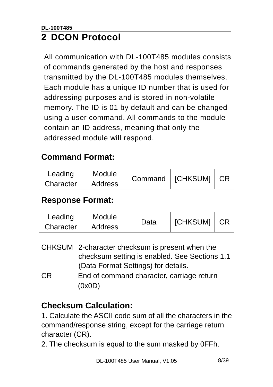#### **DL-100T485 2 DCON Protocol**

All communication with DL-100T485 modules consists of commands generated by the host and responses transmitted by the DL-100T485 modules themselves. Each module has a unique ID number that is used for addressing purposes and is stored in non-volatile memory. The ID is 01 by default and can be changed using a user command. All commands to the module contain an ID address, meaning that only the addressed module will respond.

# **Command Format:**

| Leading   | Module         | Command   [CHKSUM]   CR |  |
|-----------|----------------|-------------------------|--|
| Character | <b>Address</b> |                         |  |

#### **Response Format:**

| Leading   | <b>Module</b>  | Data | <b>ICHKSUMI</b> |  |
|-----------|----------------|------|-----------------|--|
| Character | <b>Address</b> |      |                 |  |

|           | CHKSUM 2-character checksum is present when the |
|-----------|-------------------------------------------------|
|           | checksum setting is enabled. See Sections 1.1   |
|           | (Data Format Settings) for details.             |
| <b>CR</b> | End of command character, carriage return       |
|           | (0x0D)                                          |

### **Checksum Calculation:**

1. Calculate the ASCII code sum of all the characters in the command/response string, except for the carriage return character (CR).

2. The checksum is equal to the sum masked by 0FFh.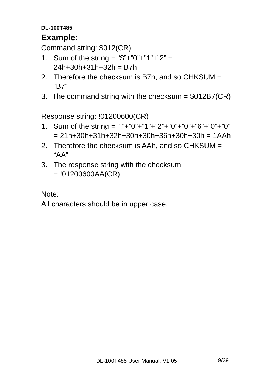#### **DL-100T485**

#### **Example:**

Command string: \$012(CR)

- 1. Sum of the string = "\$"+"0"+"1"+"2" =  $24h+30h+31h+32h = B7h$
- 2. Therefore the checksum is B7h, and so CHKSUM = "B7"
- 3. The command string with the checksum = \$012B7(CR)

Response string: !01200600(CR)

- 1. Sum of the string = "!"+"0"+"1"+"2"+"0"+"0"+"6"+"0"+"0"  $= 21h+30h+31h+32h+30h+30h+36h+30h+30h = 1AAh$
- 2. Therefore the checksum is AAh, and so CHKSUM = "AA"
- 3. The response string with the checksum  $= 101200600AA(CR)$

Note:

All characters should be in upper case.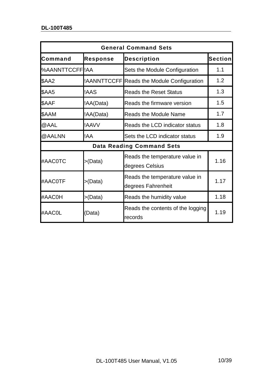|                |                 | <b>General Command Sets</b>                          |         |
|----------------|-----------------|------------------------------------------------------|---------|
| Command        | <b>Response</b> | <b>Description</b>                                   | Section |
| %AANNTTCCFFIAA |                 | Sets the Module Configuration                        | 1.1     |
| <b>\$AA2</b>   |                 | !AANNTTCCFF Reads the Module Configuration           | 1.2     |
| <b>\$AA5</b>   | !AAS            | <b>Reads the Reset Status</b>                        | 1.3     |
| \$AAF          | !AA(Data)       | Reads the firmware version                           | 1.5     |
| \$AAM          | !AA(Data)       | <b>Reads the Module Name</b>                         | 1.7     |
| @AAL           | !AAVV           | Reads the LCD indicator status                       | 1.8     |
| @AALNN         | !AA             | Sets the LCD indicator status                        | 1.9     |
|                |                 | <b>Data Reading Command Sets</b>                     |         |
| #AAC0TC        | >(Data)         | Reads the temperature value in<br>degrees Celsius    | 1.16    |
| #AAC0TF        | >(Data)         | Reads the temperature value in<br>degrees Fahrenheit | 1.17    |
| #AAC0H         | >(Data)         | Reads the humidity value                             | 1.18    |
| #AAC0L         | (Data)          | Reads the contents of the logging<br>records         | 1.19    |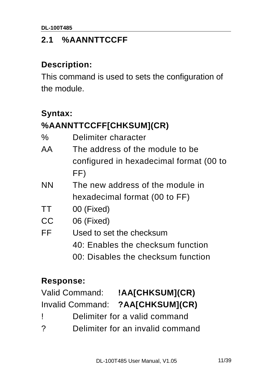# **2.1 %AANNTTCCFF**

#### **Description:**

This command is used to sets the configuration of the module.

### **Syntax:**

# **%AANNTTCCFF[CHKSUM](CR)**

| $\%$ | Delimiter character |
|------|---------------------|
|------|---------------------|

- AA The address of the module to be configured in hexadecimal format (00 to FF)
- NN The new address of the module in hexadecimal format (00 to FF)
- TT 00 (Fixed)
- CC 06 (Fixed)
- FF Used to set the checksum
	- 40: Enables the checksum function
		- 00: Disables the checksum function

### **Response:**

| <b>Valid Command:</b> | !AA[CHKSUM](CR)                             |
|-----------------------|---------------------------------------------|
|                       | - - - - - - - <i>- -</i> - - - - <i>-</i> - |

# Invalid Command: **?AA[CHKSUM](CR)**

- ! Delimiter for a valid command
- ? Delimiter for an invalid command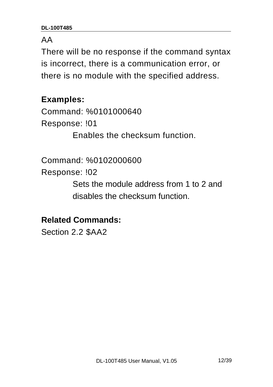#### AA

There will be no response if the command syntax is incorrect, there is a communication error, or there is no module with the specified address.

#### **Examples:**

Command: %0101000640 Response: !01 Enables the checksum function.

Command: %0102000600

Response: !02

 Sets the module address from 1 to 2 and disables the checksum function.

**Related Commands:** 

Section 2.2 \$AA2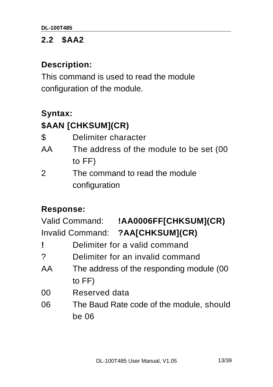### **2.2 \$AA2**

#### **Description:**

This command is used to read the module configuration of the module.

### **Syntax:**

# **\$AAN [CHKSUM](CR)**

| $\boldsymbol{\mathsf{\$}}$<br>Delimiter character |  |
|---------------------------------------------------|--|
|---------------------------------------------------|--|

- AA The address of the module to be set (00 to FF)
- 2 The command to read the module configuration

#### **Response:**

Valid Command: **!AA0006FF[CHKSUM](CR)**  Invalid Command: **?AA[CHKSUM](CR)** 

- **!** Delimiter for a valid command
- ? Delimiter for an invalid command
- AA The address of the responding module (00 to FF)
- 00 Reserved data
- 06 The Baud Rate code of the module, should be 06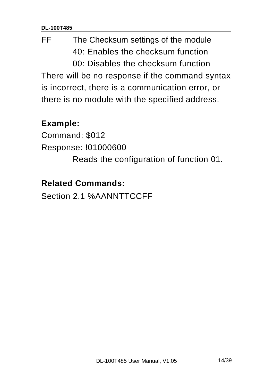# FF The Checksum settings of the module 40: Enables the checksum function 00: Disables the checksum function

There will be no response if the command syntax is incorrect, there is a communication error, or there is no module with the specified address.

### **Example:**

Command: \$012 Response: !01000600 Reads the configuration of function 01.

### **Related Commands:**

Section 2.1 %AANNTTCCFF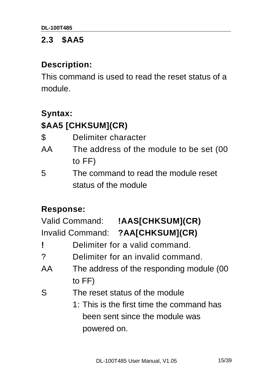#### **2.3 \$AA5**

#### **Description:**

This command is used to read the reset status of a module.

### **Syntax:**

# **\$AA5 [CHKSUM](CR)**

| \$<br>Delimiter character |
|---------------------------|
|---------------------------|

- AA The address of the module to be set (00 to FF)
- 5 The command to read the module reset status of the module

### **Response:**

| Valid Command:          | !AAS[CHKSUM](CR) |
|-------------------------|------------------|
| <b>Invalid Command:</b> | ?AA[CHKSUM](CR)  |

- **!** Delimiter for a valid command.
- ? Delimiter for an invalid command.
- AA The address of the responding module (00 to FF)
- S The reset status of the module
	- 1: This is the first time the command has been sent since the module was powered on.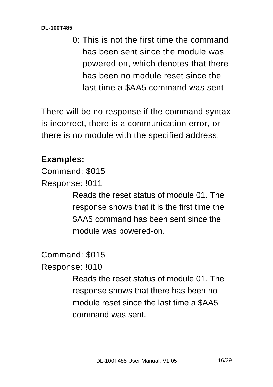0: This is not the first time the command has been sent since the module was powered on, which denotes that there has been no module reset since the last time a \$AA5 command was sent

There will be no response if the command syntax is incorrect, there is a communication error, or there is no module with the specified address.

# **Examples:**

Command: \$015

Response: !011

 Reads the reset status of module 01. The response shows that it is the first time the \$AA5 command has been sent since the module was powered-on.

Command: \$015

Response: !010

 Reads the reset status of module 01. The response shows that there has been no module reset since the last time a \$AA5 command was sent.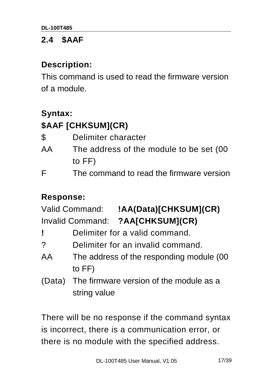### **2.4 \$AAF**

#### **Description:**

This command is used to read the firmware version of a module.

### **Syntax:**

# **\$AAF [CHKSUM](CR)**

| $\boldsymbol{\mathcal{S}}$<br>Delimiter character |
|---------------------------------------------------|
|                                                   |

- AA The address of the module to be set (00 to FF)
- F The command to read the firmware version

### **Response:**

Valid Command: **!AA(Data)[CHKSUM](CR)**  Invalid Command: **?AA[CHKSUM](CR)** 

- **!** Delimiter for a valid command.
- ? Delimiter for an invalid command.
- AA The address of the responding module (00 to FF)
- (Data) The firmware version of the module as a string value

There will be no response if the command syntax is incorrect, there is a communication error, or there is no module with the specified address.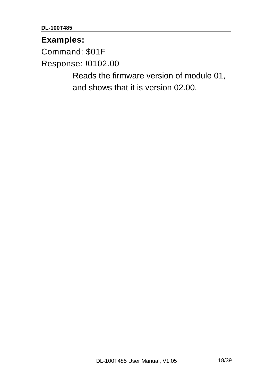#### **Examples:**

Command: \$01F

Response: !0102.00

 Reads the firmware version of module 01, and shows that it is version 02.00.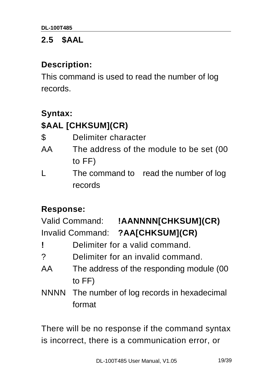### **2.5 \$AAL**

#### **Description:**

This command is used to read the number of log records.

### **Syntax:**

# **\$AAL [CHKSUM](CR)**

| \$<br>Delimiter character |
|---------------------------|
|---------------------------|

- AA The address of the module to be set (00 to FF)
- L The command to read the number of log records

### **Response:**

Valid Command: **!AANNNN[CHKSUM](CR)**  Invalid Command: **?AA[CHKSUM](CR)** 

- **!** Delimiter for a valid command.
- ? Delimiter for an invalid command.
- AA The address of the responding module (00 to FF)
- NNNN The number of log records in hexadecimal format

There will be no response if the command syntax is incorrect, there is a communication error, or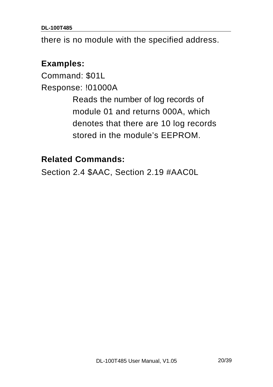**DL-100T485** 

there is no module with the specified address.

#### **Examples:**

Command: \$01L Response: !01000A Reads the number of log records of module 01 and returns 000A, which denotes that there are 10 log records stored in the module's EEPROM.

#### **Related Commands:**

Section 2.4 \$AAC, Section 2.19 #AAC0L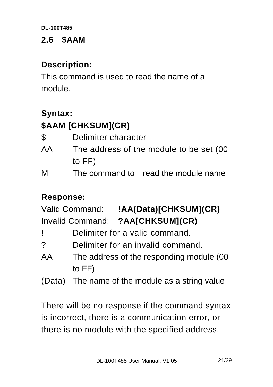#### **2.6 \$AAM**

#### **Description:**

This command is used to read the name of a module.

### **Syntax:**

### **\$AAM [CHKSUM](CR)**

AA The address of the module to be set (00 to FF)

M The command to read the module name

### **Response:**

Valid Command: **!AA(Data)[CHKSUM](CR)**  Invalid Command: **?AA[CHKSUM](CR)** 

- **!** Delimiter for a valid command.
- ? Delimiter for an invalid command.
- AA The address of the responding module (00 to FF)
- (Data) The name of the module as a string value

There will be no response if the command syntax is incorrect, there is a communication error, or there is no module with the specified address.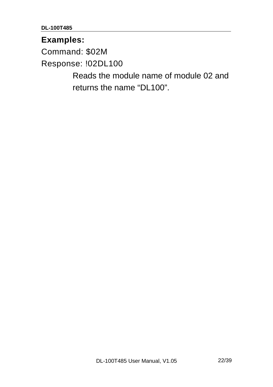**DL-100T485** 

#### **Examples:**

Command: \$02M

Response: !02DL100

 Reads the module name of module 02 and returns the name "DL100".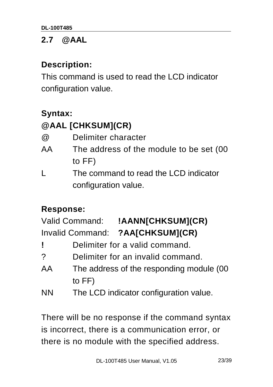### **2.7 @AAL**

#### **Description:**

This command is used to read the LCD indicator configuration value.

#### **Syntax:**

### **@AAL [CHKSUM](CR)**

| @ | Delimiter character |
|---|---------------------|
|---|---------------------|

- AA The address of the module to be set (00 to FF)
- L The command to read the LCD indicator configuration value.

#### **Response:**

| Valid Command:          | !AANN[CHKSUM](CR) |
|-------------------------|-------------------|
| <b>Invalid Command:</b> | ?AA[CHKSUM](CR)   |

- **!** Delimiter for a valid command.
- ? Delimiter for an invalid command.
- AA The address of the responding module (00 to FF)
- NN The LCD indicator configuration value.

There will be no response if the command syntax is incorrect, there is a communication error, or there is no module with the specified address.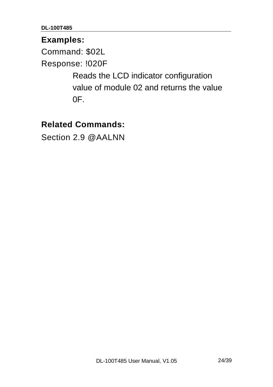#### **Examples:**

Command: \$02L

Response: !020F

 Reads the LCD indicator configuration value of module 02 and returns the value  $OF.$ 

#### **Related Commands:**

Section 2.9 @AALNN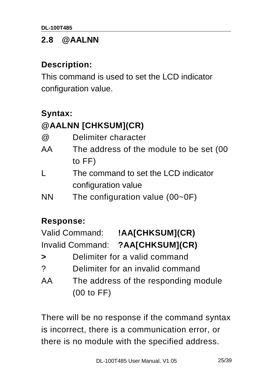### **2.8 @AALNN**

#### **Description:**

This command is used to set the LCD indicator configuration value.

### **Syntax:**

# **@AALNN [CHKSUM](CR)**

| $^{\textregistered}$ | Delimiter character                     |
|----------------------|-----------------------------------------|
| AA                   | The address of the module to be set (00 |
|                      | to $FF$ )                               |
| L                    | The command to set the LCD indicator    |
|                      | configuration value                     |
| <b>NN</b>            | The configuration value $(00-0)$        |

#### **Response:**

| <b>Valid Command:</b> | !AA[CHKSUM](CR) |
|-----------------------|-----------------|
| Invalid Command:      | ?AA[CHKSUM](CR) |

- **>** Delimiter for a valid command
- ? Delimiter for an invalid command
- AA The address of the responding module (00 to FF)

There will be no response if the command syntax is incorrect, there is a communication error, or there is no module with the specified address.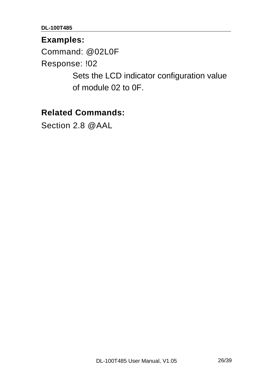#### **Examples:**

Command: @02L0F

Response: !02

 Sets the LCD indicator configuration value of module 02 to 0F.

#### **Related Commands:**

Section 2.8 @AAL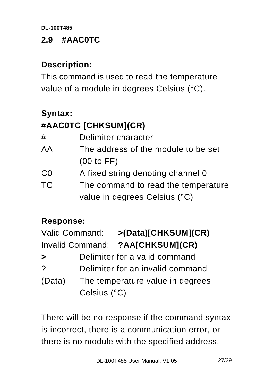### **2.9 #AAC0TC**

#### **Description:**

This command is used to read the temperature value of a module in degrees Celsius (°C).

### **Syntax:**

# **#AAC0TC [CHKSUM](CR)**

| #         | Delimiter character                 |
|-----------|-------------------------------------|
| AA        | The address of the module to be set |
|           | (00 to FF)                          |
| CO        | A fixed string denoting channel 0   |
| <b>TC</b> | The command to read the temperature |
|           | value in degrees Celsius (°C)       |

#### **Response:**

| <b>Valid Command:</b> |              | >(Data)[CHKSUM](CR)              |
|-----------------------|--------------|----------------------------------|
|                       |              | Invalid Command: ?AA[CHKSUM](CR) |
| $\blacktriangleright$ |              | Delimiter for a valid command    |
| ?                     |              | Delimiter for an invalid command |
| (Data)                |              | The temperature value in degrees |
|                       | Celsius (°C) |                                  |

There will be no response if the command syntax is incorrect, there is a communication error, or there is no module with the specified address.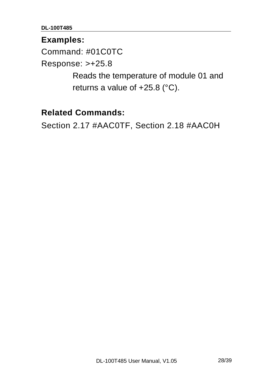#### **Examples:**

Command: #01C0TC

Response: >+25.8

 Reads the temperature of module 01 and returns a value of  $+25.8$  ( $^{\circ}$ C).

#### **Related Commands:**

Section 2.17 #AAC0TF, Section 2.18 #AAC0H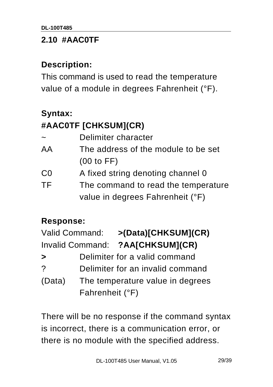#### **2.10 #AAC0TF**

#### **Description:**

This command is used to read the temperature value of a module in degrees Fahrenheit (°F).

# **Syntax:**

# **#AAC0TF [CHKSUM](CR)**

| $\sim$ | Delimiter character                 |
|--------|-------------------------------------|
| AA     | The address of the module to be set |
|        | (00 to FF)                          |
| CO     | A fixed string denoting channel 0   |
| TF     | The command to read the temperature |
|        | value in degrees Fahrenheit (°F)    |

#### **Response:**

| <b>Valid Command:</b>                      |                 | >(Data)[CHKSUM](CR)              |
|--------------------------------------------|-----------------|----------------------------------|
|                                            |                 | Invalid Command: ?AA[CHKSUM](CR) |
| $\blacktriangleright$                      |                 | Delimiter for a valid command    |
| ?                                          |                 | Delimiter for an invalid command |
| (Data)<br>The temperature value in degrees |                 |                                  |
|                                            | Fahrenheit (°F) |                                  |

There will be no response if the command syntax is incorrect, there is a communication error, or there is no module with the specified address.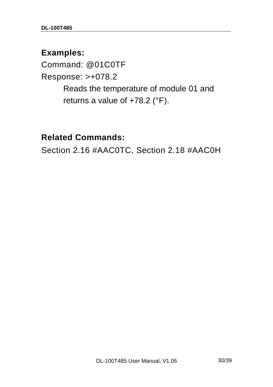#### **Examples:**

Command: @01C0TF Response: >+078.2 Reads the temperature of module 01 and returns a value of +78.2 (°F).

#### **Related Commands:**

Section 2.16 #AAC0TC, Section 2.18 #AAC0H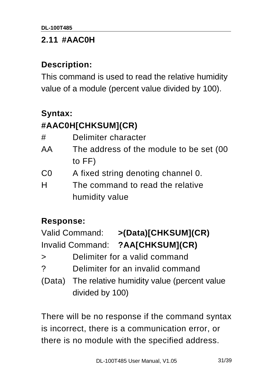#### **2.11 #AAC0H**

#### **Description:**

This command is used to read the relative humidity value of a module (percent value divided by 100).

### **Syntax:**

# **#AAC0H[CHKSUM](CR)**

| #  | Delimiter character                      |
|----|------------------------------------------|
| AA | The address of the module to be set (00) |
|    | to $FF$ )                                |
| CO | A fixed string denoting channel 0.       |
| H  | The command to read the relative         |
|    | humidity value                           |

#### **Response:**

| >(Data)[CHKSUM](CR)                               |
|---------------------------------------------------|
| Invalid Command: ?AA[CHKSUM](CR)                  |
| Delimiter for a valid command                     |
| Delimiter for an invalid command                  |
| (Data) The relative humidity value (percent value |
| Valid Command:                                    |

divided by 100)

There will be no response if the command syntax is incorrect, there is a communication error, or there is no module with the specified address.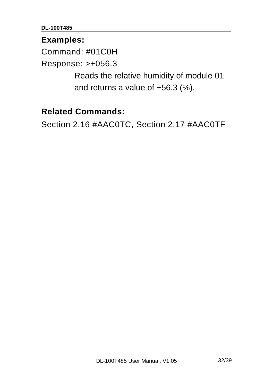#### **Examples:**

Command: #01C0H

Response: >+056.3

 Reads the relative humidity of module 01 and returns a value of +56.3 (%).

#### **Related Commands:**

Section 2.16 #AAC0TC, Section 2.17 #AAC0TF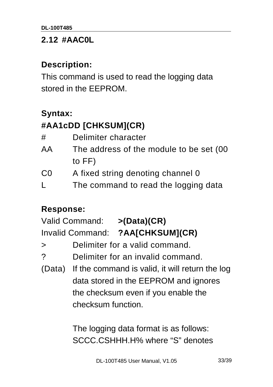#### **2.12 #AAC0L**

#### **Description:**

This command is used to read the logging data stored in the EEPROM.

#### **Syntax:**

### **#AA1cDD [CHKSUM](CR)**

| #  | Delimiter character                      |
|----|------------------------------------------|
| AA | The address of the module to be set (00) |
|    | to $FF$ )                                |
| CO | A fixed string denoting channel 0        |
| L  | The command to read the logging data     |

#### **Response:**

Valid Command: **>(Data)(CR)**  Invalid Command: **?AA[CHKSUM](CR)** 

> Delimiter for a valid command.

? Delimiter for an invalid command.

(Data) If the command is valid, it will return the log data stored in the EEPROM and ignores the checksum even if you enable the checksum function.

> The logging data format is as follows: SCCC.CSHHH.H% where "S" denotes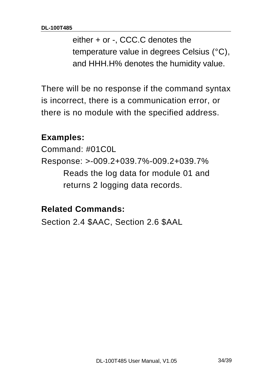either + or -, CCC.C denotes the temperature value in degrees Celsius (°C), and HHH.H% denotes the humidity value.

There will be no response if the command syntax is incorrect, there is a communication error, or there is no module with the specified address.

#### **Examples:**

Command: #01C0L Response: >-009.2+039.7%-009.2+039.7% Reads the log data for module 01 and returns 2 logging data records.

#### **Related Commands:**

Section 2.4 \$AAC, Section 2.6 \$AAL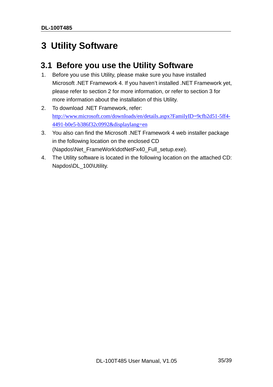# **3 Utility Software**

#### **3.1 Before you use the Utility Software**

- 1. Before you use this Utility, please make sure you have installed Microsoft .NET Framework 4. If you haven't installed .NET Framework yet, please refer to section 2 for more information, or refer to section 3 for more information about the installation of this Utility.
- 2. To download .NET Framework, refer: http://www.microsoft.com/downloads/en/details.aspx?FamilyID=9cfb2d51-5ff4- 4491-b0e5-b386f32c0992&displaylang=en
- 3. You also can find the Microsoft .NET Framework 4 web installer package in the following location on the enclosed CD (Napdos\Net\_FrameWork\dotNetFx40\_Full\_setup.exe).
- 4. The Utility software is located in the following location on the attached CD: Napdos\DL\_100\Utility.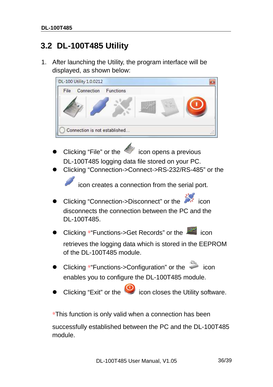### **3.2 DL-100T485 Utility**

1. After launching the Utility, the program interface will be displayed, as shown below:



- Clicking "File" or the  $\leq$  icon opens a previous DL-100T485 logging data file stored on your PC.
- Clicking "Connection->Connect->RS-232/RS-485" or the

icon creates a connection from the serial port.

- Clicking "Connection->Disconnect" or the disconnects the connection between the PC and the DL-100T485.
- Clicking \*"Functions->Get Records" or the **interest of the interest** icon

retrieves the logging data which is stored in the EEPROM of the DL-100T485 module.

- Clicking \*"Functions->Configuration" or the icon enables you to configure the DL-100T485 module.
- Clicking "Exit" or the  $\bullet$  icon closes the Utility software.

\*This function is only valid when a connection has been

successfully established between the PC and the DL-100T485 module.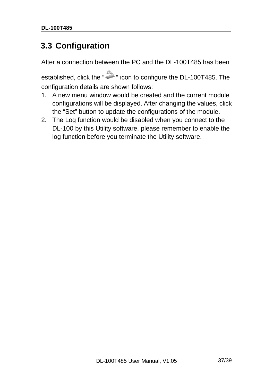### **3.3 Configuration**

After a connection between the PC and the DL-100T485 has been

established, click the " " icon to configure the DL-100T485. The configuration details are shown follows:

- 1. A new menu window would be created and the current module configurations will be displayed. After changing the values, click the "Set" button to update the configurations of the module.
- 2. The Log function would be disabled when you connect to the DL-100 by this Utility software, please remember to enable the log function before you terminate the Utility software.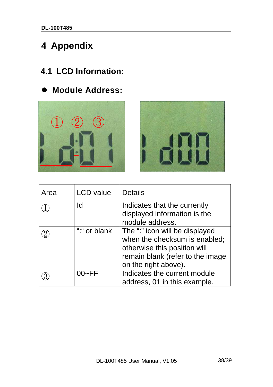# **4 Appendix**

# **4.1 LCD Information:**

**Module Address:** 





| Area | <b>LCD</b> value | <b>Details</b>                                                                                                                                              |
|------|------------------|-------------------------------------------------------------------------------------------------------------------------------------------------------------|
|      | Id               | Indicates that the currently<br>displayed information is the<br>module address.                                                                             |
|      | "." or blank     | The ":" icon will be displayed<br>when the checksum is enabled;<br>otherwise this position will<br>remain blank (refer to the image<br>on the right above). |
|      | $00-FF$          | Indicates the current module<br>address, 01 in this example.                                                                                                |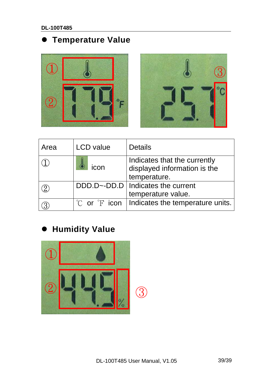# **Temperature Value**





| Area | <b>LCD</b> value                  | <b>Details</b>                                                               |
|------|-----------------------------------|------------------------------------------------------------------------------|
|      | icon                              | Indicates that the currently<br>displayed information is the<br>temperature. |
|      |                                   | DDD.D~-DD.D   Indicates the current<br>temperature value.                    |
|      | $^{\circ}$ C or $^{\circ}$ F icon | Indicates the temperature units.                                             |

# **Humidity Value**